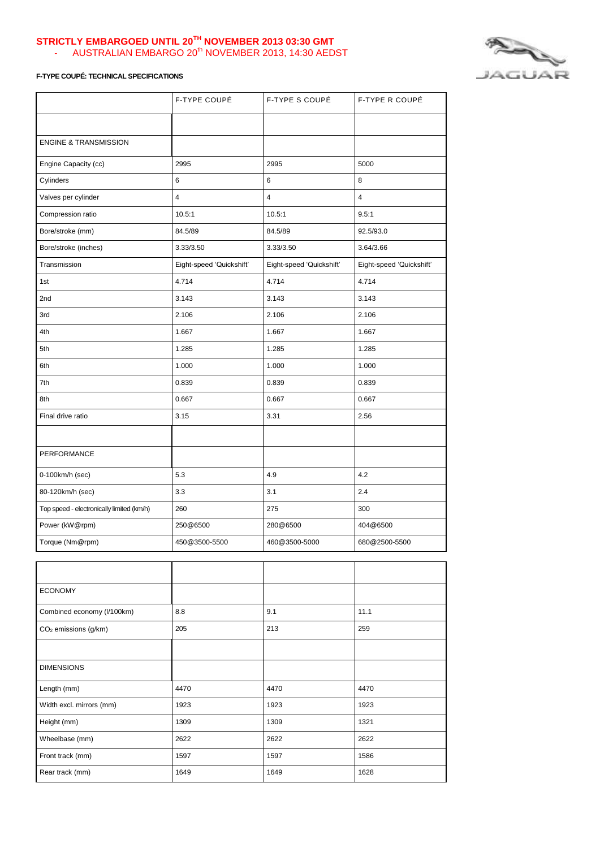## **STRICTLY EMBARGOED UNTIL 20TH NOVEMBER 2013 03:30 GMT** - AUSTRALIAN EMBARGO 20<sup>th</sup> NOVEMBER 2013, 14:30 AEDST



## **F-TYPE COUPÉ: TECHNICAL SPECIFICATIONS**

|                                           | F-TYPE COUPÉ             | F-TYPE S COUPÉ           | F-TYPE R COUPÉ           |
|-------------------------------------------|--------------------------|--------------------------|--------------------------|
|                                           |                          |                          |                          |
| <b>ENGINE &amp; TRANSMISSION</b>          |                          |                          |                          |
| Engine Capacity (cc)                      | 2995                     | 2995                     | 5000                     |
| Cylinders                                 | 6                        | 6                        | 8                        |
| Valves per cylinder                       | $\overline{4}$           | $\overline{4}$           | 4                        |
| Compression ratio                         | 10.5:1                   | 10.5:1                   | 9.5:1                    |
| Bore/stroke (mm)                          | 84.5/89                  | 84.5/89                  | 92.5/93.0                |
| Bore/stroke (inches)                      | 3.33/3.50                | 3.33/3.50                | 3.64/3.66                |
| Transmission                              | Eight-speed 'Quickshift' | Eight-speed 'Quickshift' | Eight-speed 'Quickshift' |
| 1st                                       | 4.714                    | 4.714                    | 4.714                    |
| 2nd                                       | 3.143                    | 3.143                    | 3.143                    |
| 3rd                                       | 2.106                    | 2.106                    | 2.106                    |
| 4th                                       | 1.667                    | 1.667                    | 1.667                    |
| 5th                                       | 1.285                    | 1.285                    | 1.285                    |
| 6th                                       | 1.000                    | 1.000                    | 1.000                    |
| 7th                                       | 0.839                    | 0.839                    | 0.839                    |
| 8th                                       | 0.667                    | 0.667                    | 0.667                    |
| Final drive ratio                         | 3.15                     | 3.31                     | 2.56                     |
|                                           |                          |                          |                          |
| PERFORMANCE                               |                          |                          |                          |
| 0-100km/h (sec)                           | 5.3                      | 4.9                      | 4.2                      |
| 80-120km/h (sec)                          | 3.3                      | 3.1                      | 2.4                      |
| Top speed - electronically limited (km/h) | 260                      | 275                      | 300                      |
| Power (kW@rpm)                            | 250@6500                 | 280@6500                 | 404@6500                 |
| Torque (Nm@rpm)                           | 450@3500-5500            | 460@3500-5000            | 680@2500-5500            |
|                                           |                          |                          |                          |
| <b>ECONOMY</b>                            |                          |                          |                          |
| Combined economy (I/100km)                | 8.8                      | 9.1                      | 11.1                     |
| CO <sub>2</sub> emissions (g/km)          | 205                      | 213                      | 259                      |
|                                           |                          |                          |                          |
| <b>DIMENSIONS</b>                         |                          |                          |                          |
| Length (mm)                               | 4470                     | 4470                     | 4470                     |
| Width excl. mirrors (mm)                  | 1923                     | 1923                     | 1923                     |
| Height (mm)                               | 1309                     | 1309                     | 1321                     |

Wheelbase (mm) 2622 2622 2622 2622 Front track (mm) 1597 1586 Rear track (mm) 1649 1649 1649 1649 1628